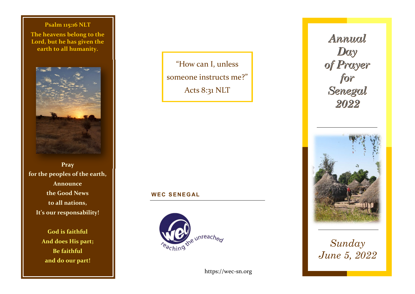**Psalm 115:16 NLT The heavens belong to the Lord, but he has given the earth to all humanity.** 



**Pray for the peoples of the earth, Announce the Good News to all nations, It's our responsability!** 

> **God is faithful And does His part; Be faithful and do our part!**

"How can I, unless someone instructs me?" Acts 8:31 NLT

## **<sup>W</sup> EC SENEG AL**



https://wec-sn.org

Annual Day of Prayer<br>for Senegal 2022



*Sunday June 5, 2022*